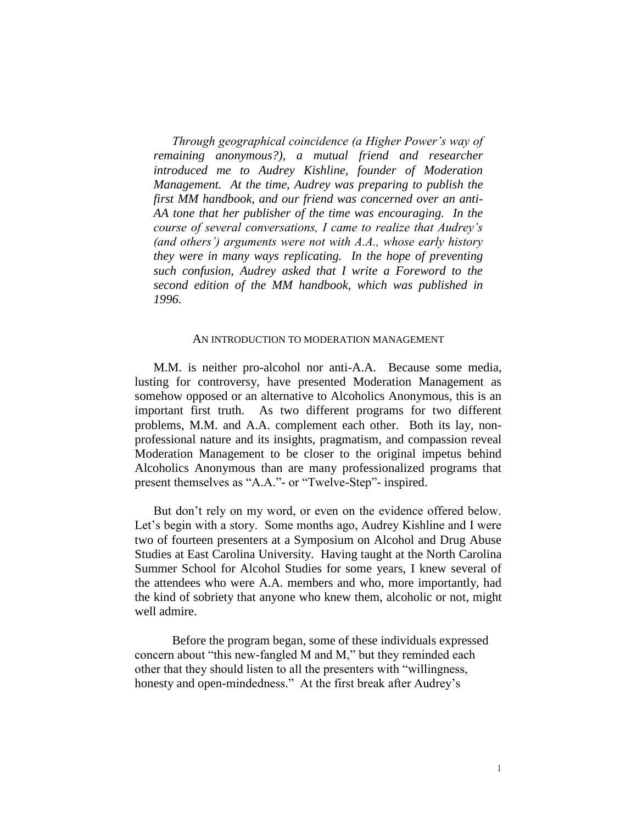*Through geographical coincidence (a Higher Power's way of remaining anonymous?), a mutual friend and researcher introduced me to Audrey Kishline, founder of Moderation Management. At the time, Audrey was preparing to publish the first MM handbook, and our friend was concerned over an anti-AA tone that her publisher of the time was encouraging. In the course of several conversations, I came to realize that Audrey's (and others') arguments were not with A.A., whose early history they were in many ways replicating. In the hope of preventing such confusion, Audrey asked that I write a Foreword to the second edition of the MM handbook, which was published in 1996.* 

## AN INTRODUCTION TO MODERATION MANAGEMENT

M.M. is neither pro-alcohol nor anti-A.A. Because some media, lusting for controversy, have presented Moderation Management as somehow opposed or an alternative to Alcoholics Anonymous, this is an important first truth. As two different programs for two different problems, M.M. and A.A. complement each other. Both its lay, nonprofessional nature and its insights, pragmatism, and compassion reveal Moderation Management to be closer to the original impetus behind Alcoholics Anonymous than are many professionalized programs that present themselves as "A.A."- or "Twelve-Step"- inspired.

But don't rely on my word, or even on the evidence offered below. Let's begin with a story. Some months ago, Audrey Kishline and I were two of fourteen presenters at a Symposium on Alcohol and Drug Abuse Studies at East Carolina University. Having taught at the North Carolina Summer School for Alcohol Studies for some years, I knew several of the attendees who were A.A. members and who, more importantly, had the kind of sobriety that anyone who knew them, alcoholic or not, might well admire.

Before the program began, some of these individuals expressed concern about "this new-fangled M and M," but they reminded each other that they should listen to all the presenters with "willingness, honesty and open-mindedness." At the first break after Audrey's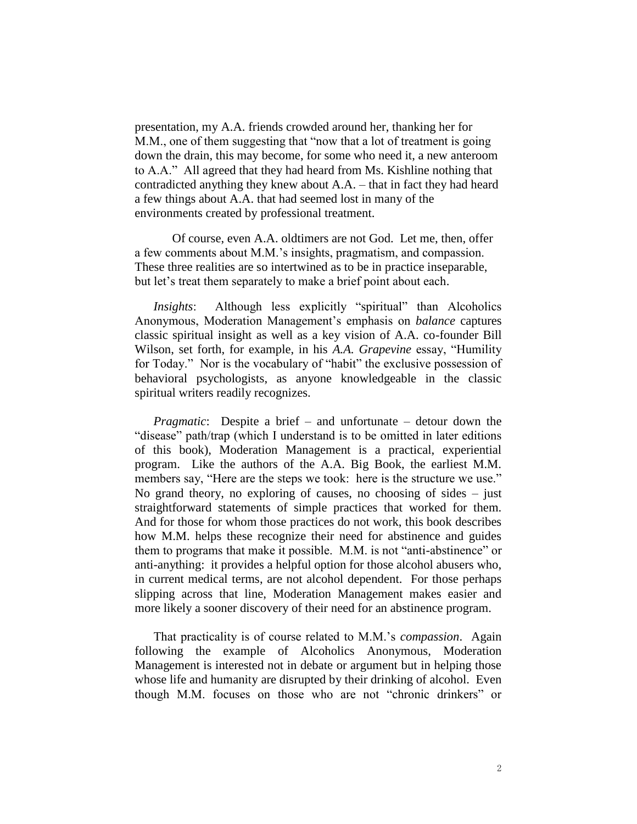presentation, my A.A. friends crowded around her, thanking her for M.M., one of them suggesting that "now that a lot of treatment is going down the drain, this may become, for some who need it, a new anteroom to A.A." All agreed that they had heard from Ms. Kishline nothing that contradicted anything they knew about A.A. – that in fact they had heard a few things about A.A. that had seemed lost in many of the environments created by professional treatment.

Of course, even A.A. oldtimers are not God. Let me, then, offer a few comments about M.M.'s insights, pragmatism, and compassion. These three realities are so intertwined as to be in practice inseparable, but let's treat them separately to make a brief point about each.

*Insights*: Although less explicitly "spiritual" than Alcoholics Anonymous, Moderation Management's emphasis on *balance* captures classic spiritual insight as well as a key vision of A.A. co-founder Bill Wilson, set forth, for example, in his *A.A. Grapevine* essay, "Humility for Today." Nor is the vocabulary of "habit" the exclusive possession of behavioral psychologists, as anyone knowledgeable in the classic spiritual writers readily recognizes.

*Pragmatic*: Despite a brief – and unfortunate – detour down the "disease" path/trap (which I understand is to be omitted in later editions of this book), Moderation Management is a practical, experiential program. Like the authors of the A.A. Big Book, the earliest M.M. members say, "Here are the steps we took: here is the structure we use." No grand theory, no exploring of causes, no choosing of sides – just straightforward statements of simple practices that worked for them. And for those for whom those practices do not work, this book describes how M.M. helps these recognize their need for abstinence and guides them to programs that make it possible. M.M. is not "anti-abstinence" or anti-anything: it provides a helpful option for those alcohol abusers who, in current medical terms, are not alcohol dependent. For those perhaps slipping across that line, Moderation Management makes easier and more likely a sooner discovery of their need for an abstinence program.

That practicality is of course related to M.M.'s *compassion*. Again following the example of Alcoholics Anonymous, Moderation Management is interested not in debate or argument but in helping those whose life and humanity are disrupted by their drinking of alcohol. Even though M.M. focuses on those who are not "chronic drinkers" or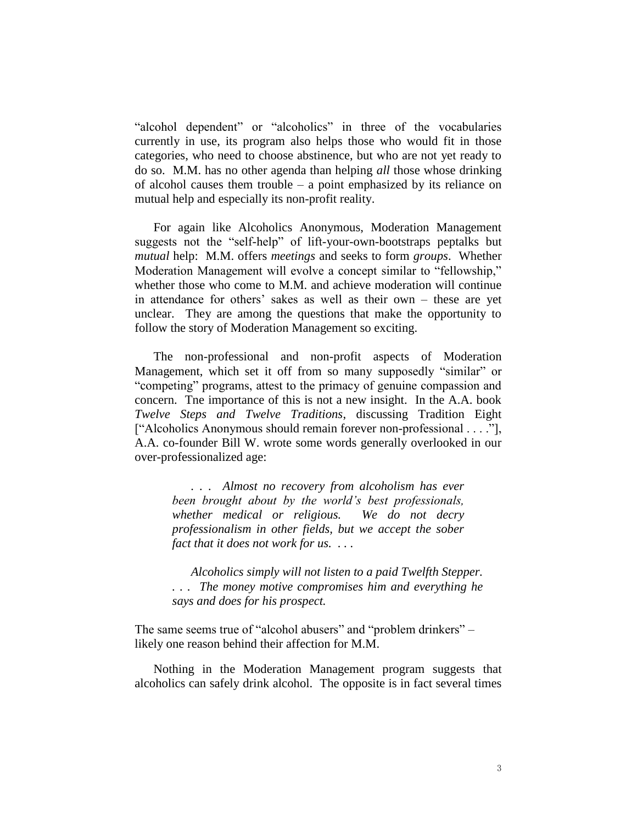"alcohol dependent" or "alcoholics" in three of the vocabularies currently in use, its program also helps those who would fit in those categories, who need to choose abstinence, but who are not yet ready to do so. M.M. has no other agenda than helping *all* those whose drinking of alcohol causes them trouble – a point emphasized by its reliance on mutual help and especially its non-profit reality.

For again like Alcoholics Anonymous, Moderation Management suggests not the "self-help" of lift-your-own-bootstraps peptalks but *mutual* help: M.M. offers *meetings* and seeks to form *groups*. Whether Moderation Management will evolve a concept similar to "fellowship," whether those who come to M.M. and achieve moderation will continue in attendance for others' sakes as well as their own – these are yet unclear. They are among the questions that make the opportunity to follow the story of Moderation Management so exciting.

The non-professional and non-profit aspects of Moderation Management, which set it off from so many supposedly "similar" or "competing" programs, attest to the primacy of genuine compassion and concern. Tne importance of this is not a new insight. In the A.A. book *Twelve Steps and Twelve Traditions*, discussing Tradition Eight ["Alcoholics Anonymous should remain forever non-professional . . . ."], A.A. co-founder Bill W. wrote some words generally overlooked in our over-professionalized age:

*. . . Almost no recovery from alcoholism has ever been brought about by the world's best professionals, whether medical or religious. We do not decry professionalism in other fields, but we accept the sober fact that it does not work for us. . . .*

*Alcoholics simply will not listen to a paid Twelfth Stepper. . . . The money motive compromises him and everything he says and does for his prospect.*

The same seems true of "alcohol abusers" and "problem drinkers" – likely one reason behind their affection for M.M.

Nothing in the Moderation Management program suggests that alcoholics can safely drink alcohol. The opposite is in fact several times